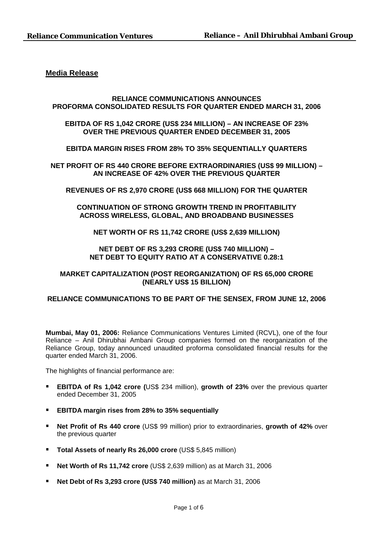# **Media Release**

## **RELIANCE COMMUNICATIONS ANNOUNCES PROFORMA CONSOLIDATED RESULTS FOR QUARTER ENDED MARCH 31, 2006**

# **EBITDA OF RS 1,042 CRORE (US\$ 234 MILLION) – AN INCREASE OF 23% OVER THE PREVIOUS QUARTER ENDED DECEMBER 31, 2005**

# **EBITDA MARGIN RISES FROM 28% TO 35% SEQUENTIALLY QUARTERS**

**NET PROFIT OF RS 440 CRORE BEFORE EXTRAORDINARIES (US\$ 99 MILLION) – AN INCREASE OF 42% OVER THE PREVIOUS QUARTER** 

## **REVENUES OF RS 2,970 CRORE (US\$ 668 MILLION) FOR THE QUARTER**

# **CONTINUATION OF STRONG GROWTH TREND IN PROFITABILITY ACROSS WIRELESS, GLOBAL, AND BROADBAND BUSINESSES**

## **NET WORTH OF RS 11,742 CRORE (US\$ 2,639 MILLION)**

# **NET DEBT OF RS 3,293 CRORE (US\$ 740 MILLION) – NET DEBT TO EQUITY RATIO AT A CONSERVATIVE 0.28:1**

# **MARKET CAPITALIZATION (POST REORGANIZATION) OF RS 65,000 CRORE (NEARLY US\$ 15 BILLION)**

# **RELIANCE COMMUNICATIONS TO BE PART OF THE SENSEX, FROM JUNE 12, 2006**

**Mumbai, May 01, 2006:** Reliance Communications Ventures Limited (RCVL), one of the four Reliance – Anil Dhirubhai Ambani Group companies formed on the reorganization of the Reliance Group, today announced unaudited proforma consolidated financial results for the quarter ended March 31, 2006.

The highlights of financial performance are:

- **EBITDA of Rs 1,042 crore (**US\$ 234 million), **growth of 23%** over the previous quarter ended December 31, 2005
- **EBITDA margin rises from 28% to 35% sequentially**
- **Net Profit of Rs 440 crore** (US\$ 99 million) prior to extraordinaries, growth of 42% over the previous quarter
- **Total Assets of nearly Rs 26,000 crore** (US\$ 5,845 million)
- **Net Worth of Rs 11,742 crore** (US\$ 2,639 million) as at March 31, 2006
- **Net Debt of Rs 3,293 crore (US\$ 740 million)** as at March 31, 2006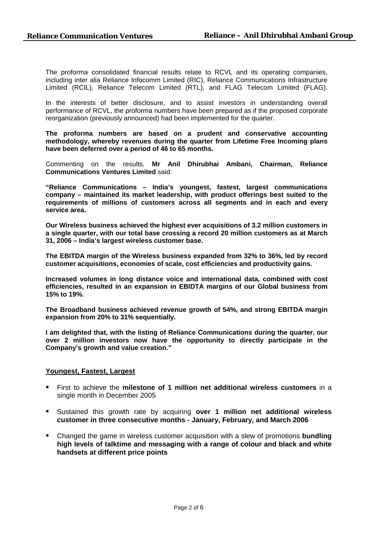The proforma consolidated financial results relate to RCVL and its operating companies, including inter alia Reliance Infocomm Limited (RIC), Reliance Communications Infrastructure Limited (RCIL), Reliance Telecom Limited (RTL), and FLAG Telecom Limited (FLAG).

In the interests of better disclosure, and to assist investors in understanding overall performance of RCVL, the proforma numbers have been prepared as if the proposed corporate reorganization (previously announced) had been implemented for the quarter.

**The proforma numbers are based on a prudent and conservative accounting methodology, whereby revenues during the quarter from Lifetime Free Incoming plans have been deferred over a period of 46 to 65 months.** 

Commenting on the results, **Mr Anil Dhirubhai Ambani, Chairman, Reliance Communications Ventures Limited** said:

**"Reliance Communications – India's youngest, fastest, largest communications company – maintained its market leadership, with product offerings best suited to the requirements of millions of customers across all segments and in each and every service area.** 

**Our Wireless business achieved the highest ever acquisitions of 3.2 million customers in a single quarter, with our total base crossing a record 20 million customers as at March 31, 2006 – India's largest wireless customer base.** 

**The EBITDA margin of the Wireless business expanded from 32% to 36%, led by record customer acquisitions, economies of scale, cost efficiencies and productivity gains.** 

**Increased volumes in long distance voice and international data, combined with cost efficiencies, resulted in an expansion in EBIDTA margins of our Global business from 15% to 19%.** 

**The Broadband business achieved revenue growth of 54%, and strong EBITDA margin expansion from 20% to 31% sequentially.** 

**I am delighted that, with the listing of Reliance Communications during the quarter, our over 2 million investors now have the opportunity to directly participate in the Company's growth and value creation."**

## **Youngest, Fastest, Largest**

- First to achieve the **milestone of 1 million net additional wireless customers** in a single month in December 2005
- Sustained this growth rate by acquiring **over 1 million net additional wireless customer in three consecutive months - January, February, and March 2006**
- Changed the game in wireless customer acquisition with a slew of promotions **bundling high levels of talktime and messaging with a range of colour and black and white handsets at different price points**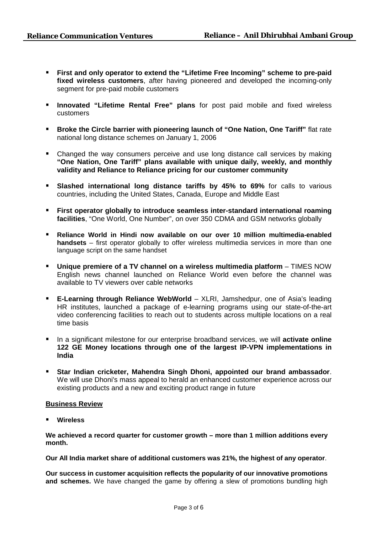- **First and only operator to extend the "Lifetime Free Incoming" scheme to pre-paid fixed wireless customers**, after having pioneered and developed the incoming-only segment for pre-paid mobile customers
- **Innovated "Lifetime Rental Free" plans** for post paid mobile and fixed wireless customers
- **Broke the Circle barrier with pioneering launch of "One Nation, One Tariff"** flat rate national long distance schemes on January 1, 2006
- Changed the way consumers perceive and use long distance call services by making **"One Nation, One Tariff" plans available with unique daily, weekly, and monthly validity and Reliance to Reliance pricing for our customer community**
- **Slashed international long distance tariffs by 45% to 69%** for calls to various countries, including the United States, Canada, Europe and Middle East
- **First operator globally to introduce seamless inter-standard international roaming facilities**, "One World, One Number", on over 350 CDMA and GSM networks globally
- **Reliance World in Hindi now available on our over 10 million multimedia-enabled handsets** – first operator globally to offer wireless multimedia services in more than one language script on the same handset
- **Unique premiere of a TV channel on a wireless multimedia platform** TIMES NOW English news channel launched on Reliance World even before the channel was available to TV viewers over cable networks
- **E-Learning through Reliance WebWorld** XLRI, Jamshedpur, one of Asia's leading HR institutes, launched a package of e-learning programs using our state-of-the-art video conferencing facilities to reach out to students across multiple locations on a real time basis
- In a significant milestone for our enterprise broadband services, we will **activate online 122 GE Money locations through one of the largest IP-VPN implementations in India**
- **Star Indian cricketer, Mahendra Singh Dhoni, appointed our brand ambassador**. We will use Dhoni's mass appeal to herald an enhanced customer experience across our existing products and a new and exciting product range in future

# **Business Review**

**Wireless** 

**We achieved a record quarter for customer growth – more than 1 million additions every month.** 

**Our All India market share of additional customers was 21%, the highest of any operator**.

**Our success in customer acquisition reflects the popularity of our innovative promotions and schemes.** We have changed the game by offering a slew of promotions bundling high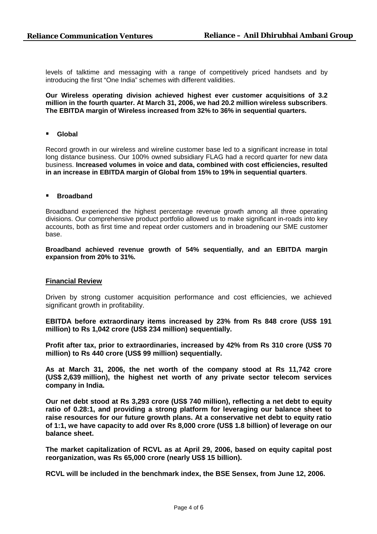levels of talktime and messaging with a range of competitively priced handsets and by introducing the first "One India" schemes with different validities.

**Our Wireless operating division achieved highest ever customer acquisitions of 3.2 million in the fourth quarter. At March 31, 2006, we had 20.2 million wireless subscribers**. **The EBITDA margin of Wireless increased from 32% to 36% in sequential quarters.** 

**Global** 

Record growth in our wireless and wireline customer base led to a significant increase in total long distance business. Our 100% owned subsidiary FLAG had a record quarter for new data business. **Increased volumes in voice and data, combined with cost efficiencies, resulted in an increase in EBITDA margin of Global from 15% to 19% in sequential quarters**.

#### **Broadband**

Broadband experienced the highest percentage revenue growth among all three operating divisions. Our comprehensive product portfolio allowed us to make significant in-roads into key accounts, both as first time and repeat order customers and in broadening our SME customer base.

**Broadband achieved revenue growth of 54% sequentially, and an EBITDA margin expansion from 20% to 31%.** 

## **Financial Review**

Driven by strong customer acquisition performance and cost efficiencies, we achieved significant growth in profitability.

**EBITDA before extraordinary items increased by 23% from Rs 848 crore (US\$ 191 million) to Rs 1,042 crore (US\$ 234 million) sequentially.** 

**Profit after tax, prior to extraordinaries, increased by 42% from Rs 310 crore (US\$ 70 million) to Rs 440 crore (US\$ 99 million) sequentially.** 

**As at March 31, 2006, the net worth of the company stood at Rs 11,742 crore (US\$ 2,639 million), the highest net worth of any private sector telecom services company in India.** 

**Our net debt stood at Rs 3,293 crore (US\$ 740 million), reflecting a net debt to equity ratio of 0.28:1, and providing a strong platform for leveraging our balance sheet to raise resources for our future growth plans. At a conservative net debt to equity ratio of 1:1, we have capacity to add over Rs 8,000 crore (US\$ 1.8 billion) of leverage on our balance sheet.** 

**The market capitalization of RCVL as at April 29, 2006, based on equity capital post reorganization, was Rs 65,000 crore (nearly US\$ 15 billion).** 

**RCVL will be included in the benchmark index, the BSE Sensex, from June 12, 2006.**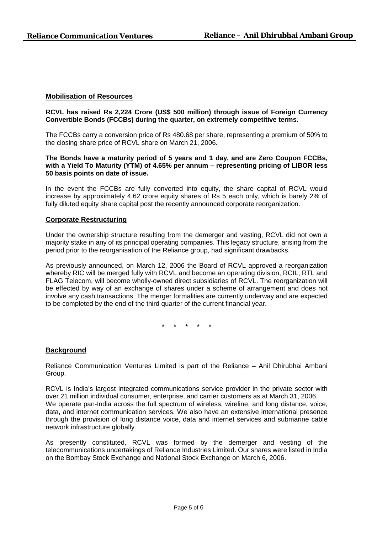# **Mobilisation of Resources**

## **RCVL has raised Rs 2,224 Crore (US\$ 500 million) through issue of Foreign Currency Convertible Bonds (FCCBs) during the quarter, on extremely competitive terms.**

The FCCBs carry a conversion price of Rs 480.68 per share, representing a premium of 50% to the closing share price of RCVL share on March 21, 2006.

**The Bonds have a maturity period of 5 years and 1 day, and are Zero Coupon FCCBs, with a Yield To Maturity (YTM) of 4.65% per annum – representing pricing of LIBOR less 50 basis points on date of issue.** 

In the event the FCCBs are fully converted into equity, the share capital of RCVL would increase by approximately 4.62 crore equity shares of Rs 5 each only, which is barely 2% of fully diluted equity share capital post the recently announced corporate reorganization.

#### **Corporate Restructuring**

Under the ownership structure resulting from the demerger and vesting, RCVL did not own a majority stake in any of its principal operating companies. This legacy structure, arising from the period prior to the reorganisation of the Reliance group, had significant drawbacks.

As previously announced, on March 12, 2006 the Board of RCVL approved a reorganization whereby RIC will be merged fully with RCVL and become an operating division, RCIL, RTL and FLAG Telecom, will become wholly-owned direct subsidiaries of RCVL. The reorganization will be effected by way of an exchange of shares under a scheme of arrangement and does not involve any cash transactions. The merger formalities are currently underway and are expected to be completed by the end of the third quarter of the current financial year.

\* \* \* \* \*

## **Background**

Reliance Communication Ventures Limited is part of the Reliance – Anil Dhirubhai Ambani Group.

RCVL is India's largest integrated communications service provider in the private sector with over 21 million individual consumer, enterprise, and carrier customers as at March 31, 2006. We operate pan-India across the full spectrum of wireless, wireline, and long distance, voice, data, and internet communication services. We also have an extensive international presence through the provision of long distance voice, data and internet services and submarine cable network infrastructure globally.

As presently constituted, RCVL was formed by the demerger and vesting of the telecommunications undertakings of Reliance Industries Limited. Our shares were listed in India on the Bombay Stock Exchange and National Stock Exchange on March 6, 2006.